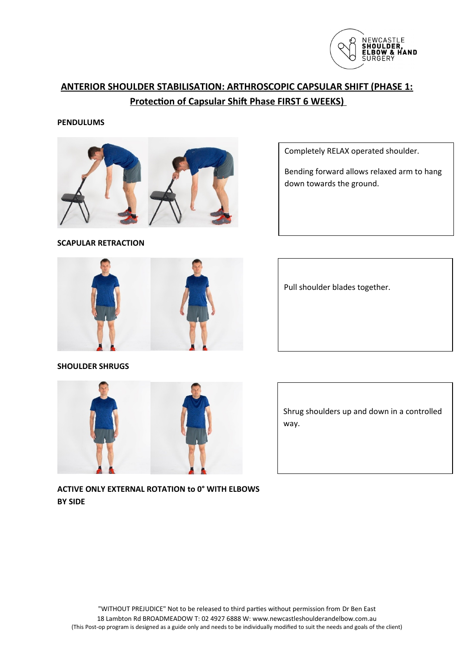

# **ANTERIOR SHOULDER STABILISATION: ARTHROSCOPIC CAPSULAR SHIFT (PHASE 1: Protection of Capsular Shift Phase FIRST 6 WEEKS)**

### **PENDULUMS**



Completely RELAX operated shoulder.

Bending forward allows relaxed arm to hang down towards the ground.





Pull shoulder blades together.

**SHOULDER SHRUGS**



Shrug shoulders up and down in a controlled way.

**ACTIVE ONLY EXTERNAL ROTATION to 0° WITH ELBOWS BY SIDE**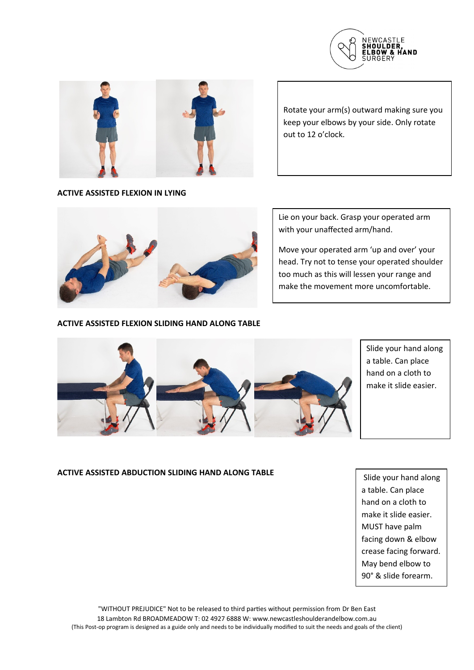



Rotate your arm(s) outward making sure you keep your elbows by your side. Only rotate out to 12 o'clock.

#### **ACTIVE ASSISTED FLEXION IN LYING**



#### **ACTIVE ASSISTED FLEXION SLIDING HAND ALONG TABLE**

Lie on your back. Grasp your operated arm with your unaffected arm/hand.

Move your operated arm 'up and over' your head. Try not to tense your operated shoulder too much as this will lessen your range and make the movement more uncomfortable.



Slide your hand along a table. Can place hand on a cloth to make it slide easier.

## **ACTIVE ASSISTED ABDUCTION SLIDING HAND ALONG TABLE**

 Slide your hand along a table. Can place hand on a cloth to make it slide easier. MUST have palm facing down & elbow crease facing forward. May bend elbow to 90° & slide forearm.

"WITHOUT PREJUDICE" Not to be released to third parties without permission from Dr Ben East 18 Lambton Rd BROADMEADOW T: 02 4927 6888 W: www.newcastleshoulderandelbow.com.au (This Post-op program is designed as a guide only and needs to be individually modified to suit the needs and goals of the client)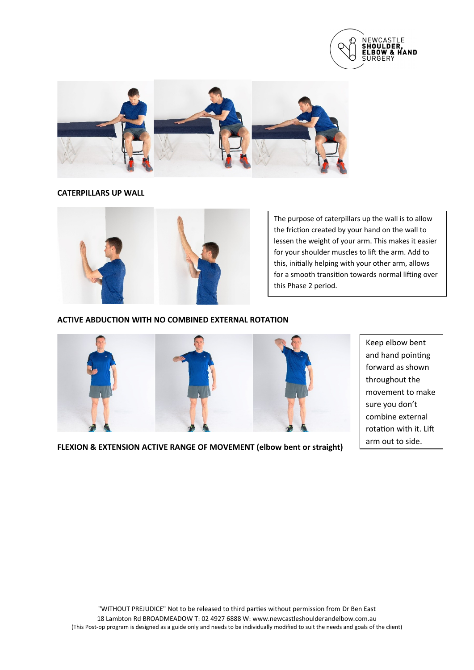



**CATERPILLARS UP WALL** 



The purpose of caterpillars up the wall is to allow the friction created by your hand on the wall to lessen the weight of your arm. This makes it easier for your shoulder muscles to lift the arm. Add to this, initially helping with your other arm, allows for a smooth transition towards normal lifting over this Phase 2 period.

## **ACTIVE ABDUCTION WITH NO COMBINED EXTERNAL ROTATION**



Keep elbow bent and hand pointing forward as shown throughout the movement to make sure you don't combine external rotation with it. Lift arm out to side.

**FLEXION & EXTENSION ACTIVE RANGE OF MOVEMENT (elbow bent or straight)**